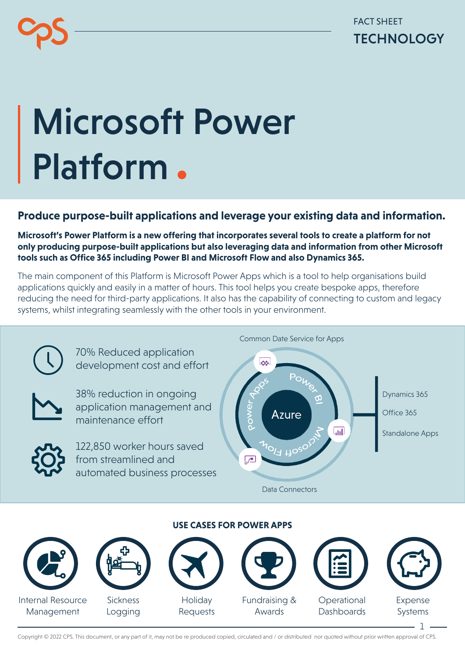FACT SHEET **TECHNOLOGY** 

## Microsoft Power Platform.

## **Produce purpose-built applications and leverage your existing data and information.**

**Microsoft's Power Platform is a new offering that incorporates several tools to create a platform for not only producing purpose-built applications but also leveraging data and information from other Microsoft tools such as Office 365 including Power BI and Microsoft Flow and also Dynamics 365.**

The main component of this Platform is Microsoft Power Apps which is a tool to help organisations build applications quickly and easily in a matter of hours. This tool helps you create bespoke apps, therefore reducing the need for third-party applications. It also has the capability of connecting to custom and legacy systems, whilst integrating seamlessly with the other tools in your environment.



Management

**Sickness** Logging

Requests

Fundraising & Awards

**Operational Dashboards** 



1

Copyright © 2022 CPS. This document, or any part of it, may not be re produced copied, circulated and / or distributed nor quoted without prior written approval of CPS.